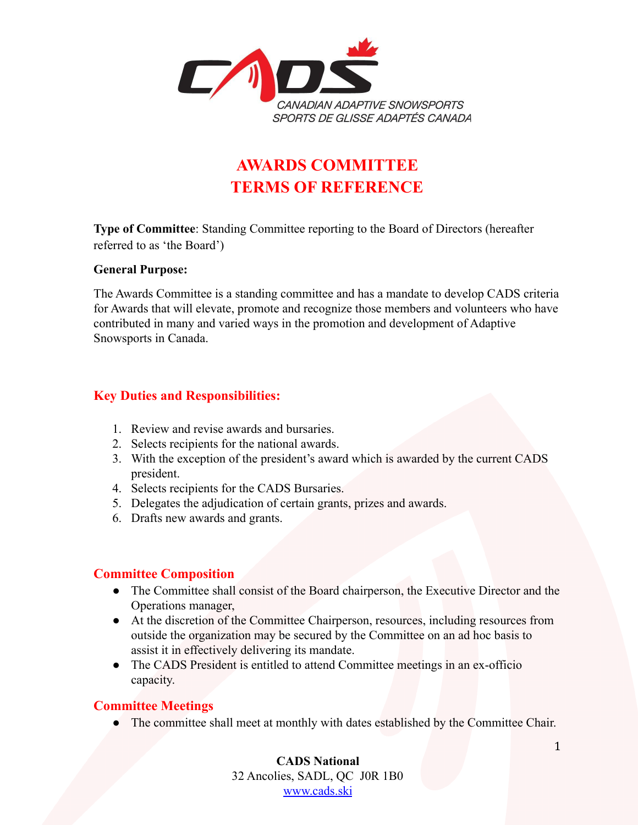

# **AWARDS COMMITTEE TERMS OF REFERENCE**

**Type of Committee**: Standing Committee reporting to the Board of Directors (hereafter referred to as 'the Board')

#### **General Purpose:**

The Awards Committee is a standing committee and has a mandate to develop CADS criteria for Awards that will elevate, promote and recognize those members and volunteers who have contributed in many and varied ways in the promotion and development of Adaptive Snowsports in Canada.

## **Key Duties and Responsibilities:**

- 1. Review and revise awards and bursaries.
- 2. Selects recipients for the national awards.
- 3. With the exception of the president's award which is awarded by the current CADS president.
- 4. Selects recipients for the CADS Bursaries.
- 5. Delegates the adjudication of certain grants, prizes and awards.
- 6. Drafts new awards and grants.

### **Committee Composition**

- The Committee shall consist of the Board chairperson, the Executive Director and the Operations manager,
- At the discretion of the Committee Chairperson, resources, including resources from outside the organization may be secured by the Committee on an ad hoc basis to assist it in effectively delivering its mandate.
- The CADS President is entitled to attend Committee meetings in an ex-officio capacity.

### **Committee Meetings**

● The committee shall meet at monthly with dates established by the Committee Chair.

**CADS National** 32 Ancolies, SADL, QC J0R 1B0 [www.cads.ski](http://www.cads.ski)